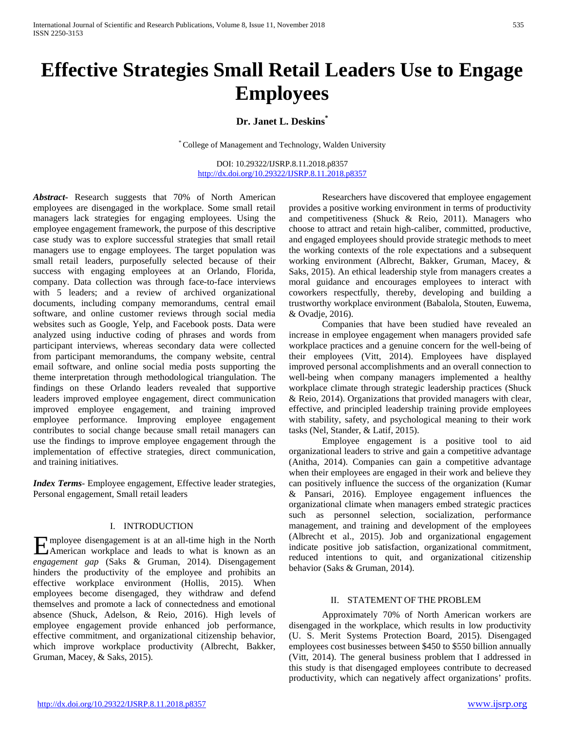# **Effective Strategies Small Retail Leaders Use to Engage Employees**

**Dr. Janet L. Deskins\***

\* College of Management and Technology, Walden University

DOI: 10.29322/IJSRP.8.11.2018.p8357 <http://dx.doi.org/10.29322/IJSRP.8.11.2018.p8357>

*Abstract***-** Research suggests that 70% of North American employees are disengaged in the workplace. Some small retail managers lack strategies for engaging employees. Using the employee engagement framework, the purpose of this descriptive case study was to explore successful strategies that small retail managers use to engage employees. The target population was small retail leaders, purposefully selected because of their success with engaging employees at an Orlando, Florida, company. Data collection was through face-to-face interviews with 5 leaders; and a review of archived organizational documents, including company memorandums, central email software, and online customer reviews through social media websites such as Google, Yelp, and Facebook posts. Data were analyzed using inductive coding of phrases and words from participant interviews, whereas secondary data were collected from participant memorandums, the company website, central email software, and online social media posts supporting the theme interpretation through methodological triangulation. The findings on these Orlando leaders revealed that supportive leaders improved employee engagement, direct communication improved employee engagement, and training improved employee performance. Improving employee engagement contributes to social change because small retail managers can use the findings to improve employee engagement through the implementation of effective strategies, direct communication, and training initiatives.

*Index Terms*- Employee engagement, Effective leader strategies, Personal engagement, Small retail leaders

#### I. INTRODUCTION

mployee disengagement is at an all-time high in the North Employee disengagement is at an all-time high in the North<br>American workplace and leads to what is known as an *engagement gap* (Saks & Gruman, 2014). Disengagement hinders the productivity of the employee and prohibits an effective workplace environment (Hollis, 2015). When employees become disengaged, they withdraw and defend themselves and promote a lack of connectedness and emotional absence (Shuck, Adelson, & Reio, 2016). High levels of employee engagement provide enhanced job performance, effective commitment, and organizational citizenship behavior, which improve workplace productivity (Albrecht, Bakker, Gruman, Macey, & Saks, 2015).

Researchers have discovered that employee engagement provides a positive working environment in terms of productivity and competitiveness (Shuck & Reio, 2011). Managers who choose to attract and retain high-caliber, committed, productive, and engaged employees should provide strategic methods to meet the working contexts of the role expectations and a subsequent working environment (Albrecht, Bakker, Gruman, Macey, & Saks, 2015). An ethical leadership style from managers creates a moral guidance and encourages employees to interact with coworkers respectfully, thereby, developing and building a trustworthy workplace environment (Babalola, Stouten, Euwema, & Ovadje, 2016).

Companies that have been studied have revealed an increase in employee engagement when managers provided safe workplace practices and a genuine concern for the well-being of their employees (Vitt, 2014). Employees have displayed improved personal accomplishments and an overall connection to well-being when company managers implemented a healthy workplace climate through strategic leadership practices (Shuck & Reio, 2014). Organizations that provided managers with clear, effective, and principled leadership training provide employees with stability, safety, and psychological meaning to their work tasks (Nel, Stander, & Latif, 2015).

Employee engagement is a positive tool to aid organizational leaders to strive and gain a competitive advantage (Anitha, 2014). Companies can gain a competitive advantage when their employees are engaged in their work and believe they can positively influence the success of the organization (Kumar & Pansari, 2016). Employee engagement influences the organizational climate when managers embed strategic practices such as personnel selection, socialization, performance management, and training and development of the employees (Albrecht et al., 2015). Job and organizational engagement indicate positive job satisfaction, organizational commitment, reduced intentions to quit, and organizational citizenship behavior (Saks & Gruman, 2014).

## II. STATEMENT OF THE PROBLEM

Approximately 70% of North American workers are disengaged in the workplace, which results in low productivity (U. S. Merit Systems Protection Board, 2015). Disengaged employees cost businesses between \$450 to \$550 billion annually (Vitt, 2014). The general business problem that I addressed in this study is that disengaged employees contribute to decreased productivity, which can negatively affect organizations' profits.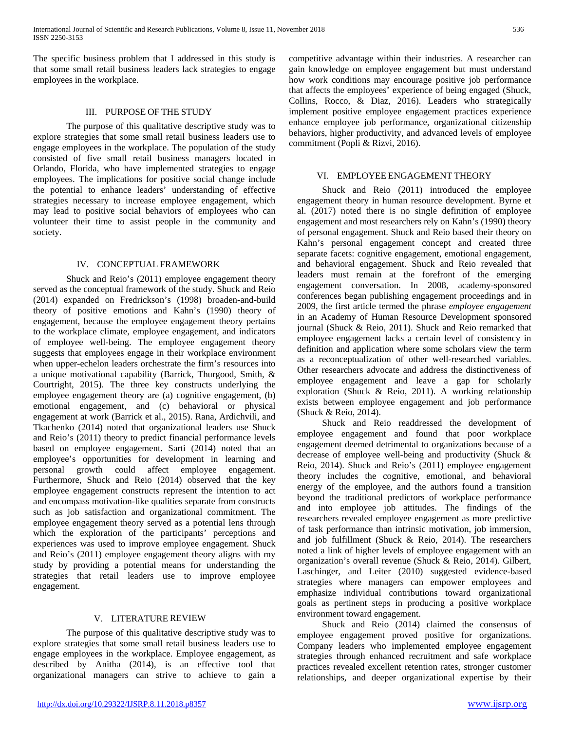The specific business problem that I addressed in this study is that some small retail business leaders lack strategies to engage employees in the workplace.

#### III. PURPOSE OF THE STUDY

The purpose of this qualitative descriptive study was to explore strategies that some small retail business leaders use to engage employees in the workplace. The population of the study consisted of five small retail business managers located in Orlando, Florida, who have implemented strategies to engage employees. The implications for positive social change include the potential to enhance leaders' understanding of effective strategies necessary to increase employee engagement, which may lead to positive social behaviors of employees who can volunteer their time to assist people in the community and society.

## IV. CONCEPTUAL FRAMEWORK

Shuck and Reio's (2011) employee engagement theory served as the conceptual framework of the study. Shuck and Reio (2014) expanded on Fredrickson's (1998) broaden-and-build theory of positive emotions and Kahn's (1990) theory of engagement, because the employee engagement theory pertains to the workplace climate, employee engagement, and indicators of employee well-being. The employee engagement theory suggests that employees engage in their workplace environment when upper-echelon leaders orchestrate the firm's resources into a unique motivational capability (Barrick, Thurgood, Smith, & Courtright, 2015). The three key constructs underlying the employee engagement theory are (a) cognitive engagement, (b) emotional engagement, and (c) behavioral or physical engagement at work (Barrick et al., 2015). Rana, Ardichvili, and Tkachenko (2014) noted that organizational leaders use Shuck and Reio's (2011) theory to predict financial performance levels based on employee engagement. Sarti (2014) noted that an employee's opportunities for development in learning and personal growth could affect employee engagement. Furthermore, Shuck and Reio (2014) observed that the key employee engagement constructs represent the intention to act and encompass motivation-like qualities separate from constructs such as job satisfaction and organizational commitment. The employee engagement theory served as a potential lens through which the exploration of the participants' perceptions and experiences was used to improve employee engagement. Shuck and Reio's (2011) employee engagement theory aligns with my study by providing a potential means for understanding the strategies that retail leaders use to improve employee engagement.

### V. LITERATURE REVIEW

The purpose of this qualitative descriptive study was to explore strategies that some small retail business leaders use to engage employees in the workplace. Employee engagement, as described by Anitha (2014), is an effective tool that organizational managers can strive to achieve to gain a competitive advantage within their industries. A researcher can gain knowledge on employee engagement but must understand how work conditions may encourage positive job performance that affects the employees' experience of being engaged (Shuck, Collins, Rocco, & Diaz, 2016). Leaders who strategically implement positive employee engagement practices experience enhance employee job performance, organizational citizenship behaviors, higher productivity, and advanced levels of employee commitment (Popli & Rizvi, 2016).

#### VI. EMPLOYEE ENGAGEMENT THEORY

Shuck and Reio (2011) introduced the employee engagement theory in human resource development. Byrne et al. (2017) noted there is no single definition of employee engagement and most researchers rely on Kahn's (1990) theory of personal engagement. Shuck and Reio based their theory on Kahn's personal engagement concept and created three separate facets: cognitive engagement, emotional engagement, and behavioral engagement. Shuck and Reio revealed that leaders must remain at the forefront of the emerging engagement conversation. In 2008, academy-sponsored conferences began publishing engagement proceedings and in 2009, the first article termed the phrase *employee engagement* in an Academy of Human Resource Development sponsored journal (Shuck & Reio, 2011). Shuck and Reio remarked that employee engagement lacks a certain level of consistency in definition and application where some scholars view the term as a reconceptualization of other well-researched variables. Other researchers advocate and address the distinctiveness of employee engagement and leave a gap for scholarly exploration (Shuck & Reio, 2011). A working relationship exists between employee engagement and job performance (Shuck & Reio, 2014).

Shuck and Reio readdressed the development of employee engagement and found that poor workplace engagement deemed detrimental to organizations because of a decrease of employee well-being and productivity (Shuck & Reio, 2014). Shuck and Reio's (2011) employee engagement theory includes the cognitive, emotional, and behavioral energy of the employee, and the authors found a transition beyond the traditional predictors of workplace performance and into employee job attitudes. The findings of the researchers revealed employee engagement as more predictive of task performance than intrinsic motivation, job immersion, and job fulfillment (Shuck & Reio, 2014). The researchers noted a link of higher levels of employee engagement with an organization's overall revenue (Shuck & Reio, 2014). Gilbert, Laschinger, and Leiter (2010) suggested evidence-based strategies where managers can empower employees and emphasize individual contributions toward organizational goals as pertinent steps in producing a positive workplace environment toward engagement.

Shuck and Reio (2014) claimed the consensus of employee engagement proved positive for organizations. Company leaders who implemented employee engagement strategies through enhanced recruitment and safe workplace practices revealed excellent retention rates, stronger customer relationships, and deeper organizational expertise by their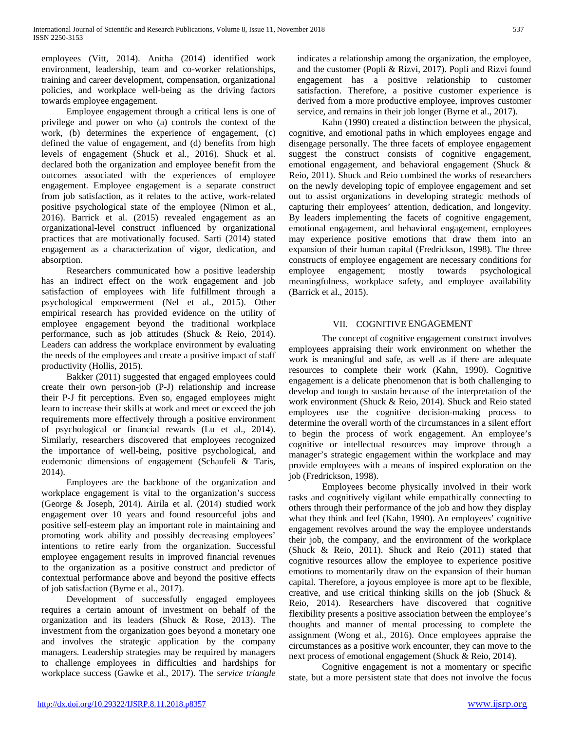employees (Vitt, 2014). Anitha (2014) identified work environment, leadership, team and co-worker relationships, training and career development, compensation, organizational policies, and workplace well-being as the driving factors towards employee engagement.

Employee engagement through a critical lens is one of privilege and power on who (a) controls the context of the work, (b) determines the experience of engagement, (c) defined the value of engagement, and (d) benefits from high levels of engagement (Shuck et al., 2016). Shuck et al. declared both the organization and employee benefit from the outcomes associated with the experiences of employee engagement. Employee engagement is a separate construct from job satisfaction, as it relates to the active, work-related positive psychological state of the employee (Nimon et al., 2016). Barrick et al. (2015) revealed engagement as an organizational-level construct influenced by organizational practices that are motivationally focused. Sarti (2014) stated engagement as a characterization of vigor, dedication, and absorption.

Researchers communicated how a positive leadership has an indirect effect on the work engagement and job satisfaction of employees with life fulfillment through a psychological empowerment (Nel et al., 2015). Other empirical research has provided evidence on the utility of employee engagement beyond the traditional workplace performance, such as job attitudes (Shuck & Reio, 2014). Leaders can address the workplace environment by evaluating the needs of the employees and create a positive impact of staff productivity (Hollis, 2015).

Bakker (2011) suggested that engaged employees could create their own person-job (P-J) relationship and increase their P-J fit perceptions. Even so, engaged employees might learn to increase their skills at work and meet or exceed the job requirements more effectively through a positive environment of psychological or financial rewards (Lu et al., 2014). Similarly, researchers discovered that employees recognized the importance of well-being, positive psychological, and eudemonic dimensions of engagement (Schaufeli & Taris, 2014).

Employees are the backbone of the organization and workplace engagement is vital to the organization's success (George & Joseph, 2014). Airila et al. (2014) studied work engagement over 10 years and found resourceful jobs and positive self-esteem play an important role in maintaining and promoting work ability and possibly decreasing employees' intentions to retire early from the organization. Successful employee engagement results in improved financial revenues to the organization as a positive construct and predictor of contextual performance above and beyond the positive effects of job satisfaction (Byrne et al., 2017).

Development of successfully engaged employees requires a certain amount of investment on behalf of the organization and its leaders (Shuck & Rose, 2013). The investment from the organization goes beyond a monetary one and involves the strategic application by the company managers. Leadership strategies may be required by managers to challenge employees in difficulties and hardships for workplace success (Gawke et al., 2017). The *service triangle* 

indicates a relationship among the organization, the employee, and the customer (Popli & Rizvi, 2017). Popli and Rizvi found engagement has a positive relationship to customer satisfaction. Therefore, a positive customer experience is derived from a more productive employee, improves customer service, and remains in their job longer (Byrne et al., 2017).

Kahn (1990) created a distinction between the physical, cognitive, and emotional paths in which employees engage and disengage personally. The three facets of employee engagement suggest the construct consists of cognitive engagement, emotional engagement, and behavioral engagement (Shuck & Reio, 2011). Shuck and Reio combined the works of researchers on the newly developing topic of employee engagement and set out to assist organizations in developing strategic methods of capturing their employees' attention, dedication, and longevity. By leaders implementing the facets of cognitive engagement, emotional engagement, and behavioral engagement, employees may experience positive emotions that draw them into an expansion of their human capital (Fredrickson, 1998). The three constructs of employee engagement are necessary conditions for employee engagement; mostly towards psychological meaningfulness, workplace safety, and employee availability (Barrick et al., 2015).

## VII. COGNITIVE ENGAGEMENT

The concept of cognitive engagement construct involves employees appraising their work environment on whether the work is meaningful and safe, as well as if there are adequate resources to complete their work (Kahn, 1990). Cognitive engagement is a delicate phenomenon that is both challenging to develop and tough to sustain because of the interpretation of the work environment (Shuck & Reio, 2014). Shuck and Reio stated employees use the cognitive decision-making process to determine the overall worth of the circumstances in a silent effort to begin the process of work engagement. An employee's cognitive or intellectual resources may improve through a manager's strategic engagement within the workplace and may provide employees with a means of inspired exploration on the job (Fredrickson, 1998).

Employees become physically involved in their work tasks and cognitively vigilant while empathically connecting to others through their performance of the job and how they display what they think and feel (Kahn, 1990). An employees' cognitive engagement revolves around the way the employee understands their job, the company, and the environment of the workplace (Shuck & Reio, 2011). Shuck and Reio (2011) stated that cognitive resources allow the employee to experience positive emotions to momentarily draw on the expansion of their human capital. Therefore, a joyous employee is more apt to be flexible, creative, and use critical thinking skills on the job (Shuck & Reio, 2014). Researchers have discovered that cognitive flexibility presents a positive association between the employee's thoughts and manner of mental processing to complete the assignment (Wong et al., 2016). Once employees appraise the circumstances as a positive work encounter, they can move to the next process of emotional engagement (Shuck & Reio, 2014).

Cognitive engagement is not a momentary or specific state, but a more persistent state that does not involve the focus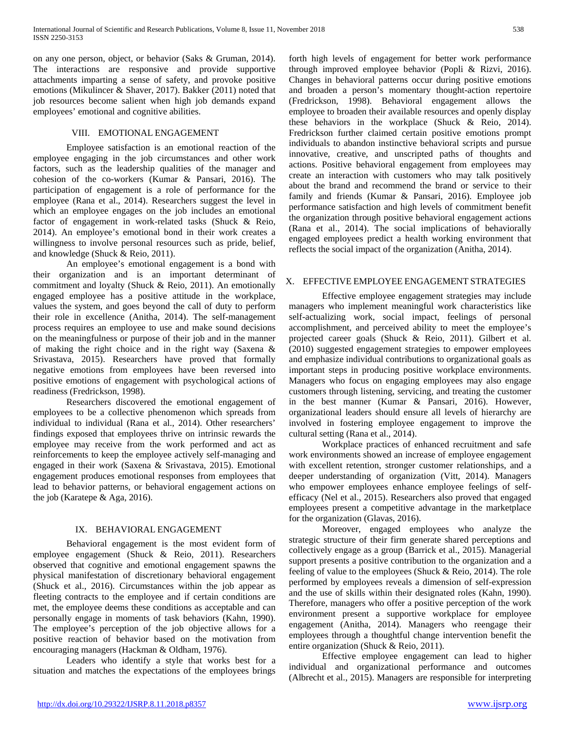on any one person, object, or behavior (Saks & Gruman, 2014). The interactions are responsive and provide supportive attachments imparting a sense of safety, and provoke positive emotions (Mikulincer & Shaver, 2017). Bakker (2011) noted that job resources become salient when high job demands expand employees' emotional and cognitive abilities.

## VIII. EMOTIONAL ENGAGEMENT

Employee satisfaction is an emotional reaction of the employee engaging in the job circumstances and other work factors, such as the leadership qualities of the manager and cohesion of the co-workers (Kumar & Pansari, 2016). The participation of engagement is a role of performance for the employee (Rana et al., 2014). Researchers suggest the level in which an employee engages on the job includes an emotional factor of engagement in work-related tasks (Shuck & Reio, 2014). An employee's emotional bond in their work creates a willingness to involve personal resources such as pride, belief, and knowledge (Shuck & Reio, 2011).

An employee's emotional engagement is a bond with their organization and is an important determinant of commitment and loyalty (Shuck & Reio, 2011). An emotionally engaged employee has a positive attitude in the workplace, values the system, and goes beyond the call of duty to perform their role in excellence (Anitha, 2014). The self-management process requires an employee to use and make sound decisions on the meaningfulness or purpose of their job and in the manner of making the right choice and in the right way (Saxena & Srivastava, 2015). Researchers have proved that formally negative emotions from employees have been reversed into positive emotions of engagement with psychological actions of readiness (Fredrickson, 1998).

Researchers discovered the emotional engagement of employees to be a collective phenomenon which spreads from individual to individual (Rana et al., 2014). Other researchers' findings exposed that employees thrive on intrinsic rewards the employee may receive from the work performed and act as reinforcements to keep the employee actively self-managing and engaged in their work (Saxena & Srivastava, 2015). Emotional engagement produces emotional responses from employees that lead to behavior patterns, or behavioral engagement actions on the job (Karatepe & Aga, 2016).

## IX. BEHAVIORAL ENGAGEMENT

Behavioral engagement is the most evident form of employee engagement (Shuck & Reio, 2011). Researchers observed that cognitive and emotional engagement spawns the physical manifestation of discretionary behavioral engagement (Shuck et al., 2016). Circumstances within the job appear as fleeting contracts to the employee and if certain conditions are met, the employee deems these conditions as acceptable and can personally engage in moments of task behaviors (Kahn, 1990). The employee's perception of the job objective allows for a positive reaction of behavior based on the motivation from encouraging managers (Hackman & Oldham, 1976).

Leaders who identify a style that works best for a situation and matches the expectations of the employees brings forth high levels of engagement for better work performance through improved employee behavior (Popli & Rizvi, 2016). Changes in behavioral patterns occur during positive emotions and broaden a person's momentary thought-action repertoire (Fredrickson, 1998). Behavioral engagement allows the employee to broaden their available resources and openly display these behaviors in the workplace (Shuck & Reio, 2014). Fredrickson further claimed certain positive emotions prompt individuals to abandon instinctive behavioral scripts and pursue innovative, creative, and unscripted paths of thoughts and actions. Positive behavioral engagement from employees may create an interaction with customers who may talk positively about the brand and recommend the brand or service to their family and friends (Kumar & Pansari, 2016). Employee job performance satisfaction and high levels of commitment benefit the organization through positive behavioral engagement actions (Rana et al., 2014). The social implications of behaviorally engaged employees predict a health working environment that reflects the social impact of the organization (Anitha, 2014).

#### X. EFFECTIVE EMPLOYEE ENGAGEMENT STRATEGIES

Effective employee engagement strategies may include managers who implement meaningful work characteristics like self-actualizing work, social impact, feelings of personal accomplishment, and perceived ability to meet the employee's projected career goals (Shuck & Reio, 2011). Gilbert et al. (2010) suggested engagement strategies to empower employees and emphasize individual contributions to organizational goals as important steps in producing positive workplace environments. Managers who focus on engaging employees may also engage customers through listening, servicing, and treating the customer in the best manner (Kumar & Pansari, 2016). However, organizational leaders should ensure all levels of hierarchy are involved in fostering employee engagement to improve the cultural setting (Rana et al., 2014).

Workplace practices of enhanced recruitment and safe work environments showed an increase of employee engagement with excellent retention, stronger customer relationships, and a deeper understanding of organization (Vitt, 2014). Managers who empower employees enhance employee feelings of selfefficacy (Nel et al., 2015). Researchers also proved that engaged employees present a competitive advantage in the marketplace for the organization (Glavas, 2016).

Moreover, engaged employees who analyze the strategic structure of their firm generate shared perceptions and collectively engage as a group (Barrick et al., 2015). Managerial support presents a positive contribution to the organization and a feeling of value to the employees (Shuck & Reio, 2014). The role performed by employees reveals a dimension of self-expression and the use of skills within their designated roles (Kahn, 1990). Therefore, managers who offer a positive perception of the work environment present a supportive workplace for employee engagement (Anitha, 2014). Managers who reengage their employees through a thoughtful change intervention benefit the entire organization (Shuck & Reio, 2011).

Effective employee engagement can lead to higher individual and organizational performance and outcomes (Albrecht et al., 2015). Managers are responsible for interpreting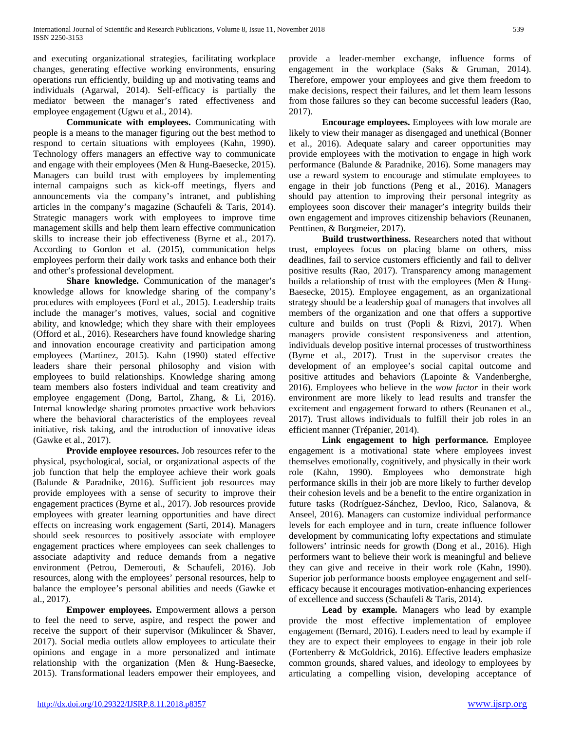and executing organizational strategies, facilitating workplace changes, generating effective working environments, ensuring operations run efficiently, building up and motivating teams and individuals (Agarwal, 2014). Self-efficacy is partially the mediator between the manager's rated effectiveness and employee engagement (Ugwu et al., 2014).

**Communicate with employees.** Communicating with people is a means to the manager figuring out the best method to respond to certain situations with employees (Kahn, 1990). Technology offers managers an effective way to communicate and engage with their employees (Men & Hung-Baesecke, 2015). Managers can build trust with employees by implementing internal campaigns such as kick-off meetings, flyers and announcements via the company's intranet, and publishing articles in the company's magazine (Schaufeli & Taris, 2014). Strategic managers work with employees to improve time management skills and help them learn effective communication skills to increase their job effectiveness (Byrne et al., 2017). According to Gordon et al. (2015), communication helps employees perform their daily work tasks and enhance both their and other's professional development.

**Share knowledge.** Communication of the manager's knowledge allows for knowledge sharing of the company's procedures with employees (Ford et al., 2015). Leadership traits include the manager's motives, values, social and cognitive ability, and knowledge; which they share with their employees (Offord et al., 2016). Researchers have found knowledge sharing and innovation encourage creativity and participation among employees (Martinez, 2015). Kahn (1990) stated effective leaders share their personal philosophy and vision with employees to build relationships. Knowledge sharing among team members also fosters individual and team creativity and employee engagement (Dong, Bartol, Zhang, & Li, 2016). Internal knowledge sharing promotes proactive work behaviors where the behavioral characteristics of the employees reveal initiative, risk taking, and the introduction of innovative ideas (Gawke et al., 2017).

**Provide employee resources.** Job resources refer to the physical, psychological, social, or organizational aspects of the job function that help the employee achieve their work goals (Balunde & Paradnike, 2016). Sufficient job resources may provide employees with a sense of security to improve their engagement practices (Byrne et al., 2017). Job resources provide employees with greater learning opportunities and have direct effects on increasing work engagement (Sarti, 2014). Managers should seek resources to positively associate with employee engagement practices where employees can seek challenges to associate adaptivity and reduce demands from a negative environment (Petrou, Demerouti, & Schaufeli, 2016). Job resources, along with the employees' personal resources, help to balance the employee's personal abilities and needs (Gawke et al., 2017).

**Empower employees.** Empowerment allows a person to feel the need to serve, aspire, and respect the power and receive the support of their supervisor (Mikulincer & Shaver, 2017). Social media outlets allow employees to articulate their opinions and engage in a more personalized and intimate relationship with the organization (Men & Hung-Baesecke, 2015). Transformational leaders empower their employees, and provide a leader-member exchange, influence forms of engagement in the workplace (Saks & Gruman, 2014). Therefore, empower your employees and give them freedom to make decisions, respect their failures, and let them learn lessons from those failures so they can become successful leaders (Rao, 2017).

**Encourage employees.** Employees with low morale are likely to view their manager as disengaged and unethical (Bonner et al., 2016). Adequate salary and career opportunities may provide employees with the motivation to engage in high work performance (Balunde & Paradnike, 2016). Some managers may use a reward system to encourage and stimulate employees to engage in their job functions (Peng et al., 2016). Managers should pay attention to improving their personal integrity as employees soon discover their manager's integrity builds their own engagement and improves citizenship behaviors (Reunanen, Penttinen, & Borgmeier, 2017).

**Build trustworthiness.** Researchers noted that without trust, employees focus on placing blame on others, miss deadlines, fail to service customers efficiently and fail to deliver positive results (Rao, 2017). Transparency among management builds a relationship of trust with the employees (Men & Hung-Baesecke, 2015). Employee engagement, as an organizational strategy should be a leadership goal of managers that involves all members of the organization and one that offers a supportive culture and builds on trust (Popli & Rizvi, 2017). When managers provide consistent responsiveness and attention, individuals develop positive internal processes of trustworthiness (Byrne et al., 2017). Trust in the supervisor creates the development of an employee's social capital outcome and positive attitudes and behaviors (Lapointe & Vandenberghe, 2016). Employees who believe in the *wow factor* in their work environment are more likely to lead results and transfer the excitement and engagement forward to others (Reunanen et al., 2017). Trust allows individuals to fulfill their job roles in an efficient manner (Trépanier, 2014).

**Link engagement to high performance.** Employee engagement is a motivational state where employees invest themselves emotionally, cognitively, and physically in their work role (Kahn, 1990). Employees who demonstrate high performance skills in their job are more likely to further develop their cohesion levels and be a benefit to the entire organization in future tasks (Rodríguez-Sánchez, Devloo, Rico, Salanova, & Anseel, 2016). Managers can customize individual performance levels for each employee and in turn, create influence follower development by communicating lofty expectations and stimulate followers' intrinsic needs for growth (Dong et al., 2016). High performers want to believe their work is meaningful and believe they can give and receive in their work role (Kahn, 1990). Superior job performance boosts employee engagement and selfefficacy because it encourages motivation-enhancing experiences of excellence and success (Schaufeli & Taris, 2014).

**Lead by example.** Managers who lead by example provide the most effective implementation of employee engagement (Bernard, 2016). Leaders need to lead by example if they are to expect their employees to engage in their job role (Fortenberry & McGoldrick, 2016). Effective leaders emphasize common grounds, shared values, and ideology to employees by articulating a compelling vision, developing acceptance of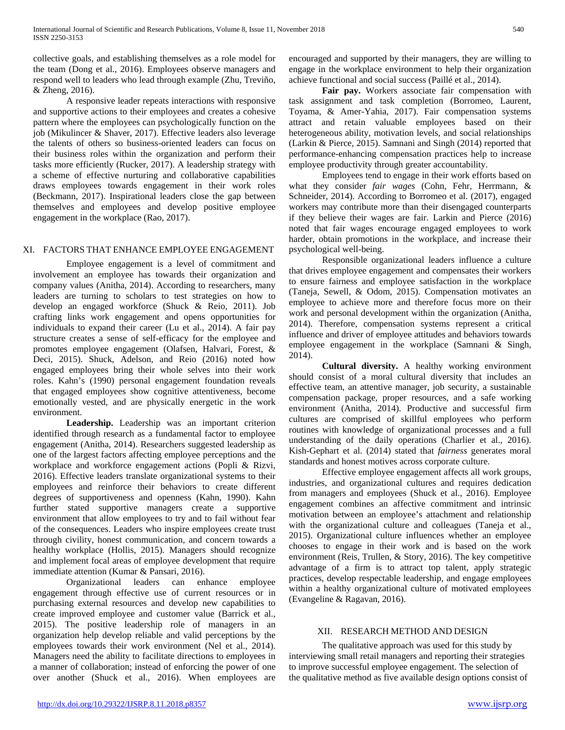collective goals, and establishing themselves as a role model for the team (Dong et al., 2016). Employees observe managers and respond well to leaders who lead through example (Zhu, Treviño, & Zheng, 2016).

A responsive leader repeats interactions with responsive and supportive actions to their employees and creates a cohesive pattern where the employees can psychologically function on the job (Mikulincer & Shaver, 2017). Effective leaders also leverage the talents of others so business-oriented leaders can focus on their business roles within the organization and perform their tasks more efficiently (Rucker, 2017). A leadership strategy with a scheme of effective nurturing and collaborative capabilities draws employees towards engagement in their work roles (Beckmann, 2017). Inspirational leaders close the gap between themselves and employees and develop positive employee engagement in the workplace (Rao, 2017).

#### XI. FACTORS THAT ENHANCE EMPLOYEE ENGAGEMENT

Employee engagement is a level of commitment and involvement an employee has towards their organization and company values (Anitha, 2014). According to researchers, many leaders are turning to scholars to test strategies on how to develop an engaged workforce (Shuck & Reio, 2011). Job crafting links work engagement and opens opportunities for individuals to expand their career (Lu et al., 2014). A fair pay structure creates a sense of self-efficacy for the employee and promotes employee engagement (Olafsen, Halvari, Forest, & Deci, 2015). Shuck, Adelson, and Reio (2016) noted how engaged employees bring their whole selves into their work roles. Kahn's (1990) personal engagement foundation reveals that engaged employees show cognitive attentiveness, become emotionally vested, and are physically energetic in the work environment.

**Leadership.** Leadership was an important criterion identified through research as a fundamental factor to employee engagement (Anitha, 2014). Researchers suggested leadership as one of the largest factors affecting employee perceptions and the workplace and workforce engagement actions (Popli & Rizvi, 2016). Effective leaders translate organizational systems to their employees and reinforce their behaviors to create different degrees of supportiveness and openness (Kahn, 1990). Kahn further stated supportive managers create a supportive environment that allow employees to try and to fail without fear of the consequences. Leaders who inspire employees create trust through civility, honest communication, and concern towards a healthy workplace (Hollis, 2015). Managers should recognize and implement focal areas of employee development that require immediate attention (Kumar & Pansari, 2016).

Organizational leaders can enhance employee engagement through effective use of current resources or in purchasing external resources and develop new capabilities to create improved employee and customer value (Barrick et al., 2015). The positive leadership role of managers in an organization help develop reliable and valid perceptions by the employees towards their work environment (Nel et al., 2014). Managers need the ability to facilitate directions to employees in a manner of collaboration; instead of enforcing the power of one over another (Shuck et al., 2016). When employees are

encouraged and supported by their managers, they are willing to engage in the workplace environment to help their organization achieve functional and social success (Paillé et al., 2014).

**Fair pay.** Workers associate fair compensation with task assignment and task completion (Borromeo, Laurent, Toyama, & Amer-Yahia, 2017). Fair compensation systems attract and retain valuable employees based on their heterogeneous ability, motivation levels, and social relationships (Larkin & Pierce, 2015). Samnani and Singh (2014) reported that performance-enhancing compensation practices help to increase employee productivity through greater accountability.

Employees tend to engage in their work efforts based on what they consider *fair wages* (Cohn, Fehr, Herrmann, & Schneider, 2014). According to Borromeo et al. (2017), engaged workers may contribute more than their disengaged counterparts if they believe their wages are fair. Larkin and Pierce (2016) noted that fair wages encourage engaged employees to work harder, obtain promotions in the workplace, and increase their psychological well-being.

Responsible organizational leaders influence a culture that drives employee engagement and compensates their workers to ensure fairness and employee satisfaction in the workplace (Taneja, Sewell, & Odom, 2015). Compensation motivates an employee to achieve more and therefore focus more on their work and personal development within the organization (Anitha, 2014). Therefore, compensation systems represent a critical influence and driver of employee attitudes and behaviors towards employee engagement in the workplace (Samnani & Singh, 2014).

**Cultural diversity.** A healthy working environment should consist of a moral cultural diversity that includes an effective team, an attentive manager, job security, a sustainable compensation package, proper resources, and a safe working environment (Anitha, 2014). Productive and successful firm cultures are comprised of skillful employees who perform routines with knowledge of organizational processes and a full understanding of the daily operations (Charlier et al., 2016). Kish-Gephart et al. (2014) stated that *fairness* generates moral standards and honest motives across corporate culture.

Effective employee engagement affects all work groups, industries, and organizational cultures and requires dedication from managers and employees (Shuck et al., 2016). Employee engagement combines an affective commitment and intrinsic motivation between an employee's attachment and relationship with the organizational culture and colleagues (Taneja et al., 2015). Organizational culture influences whether an employee chooses to engage in their work and is based on the work environment (Reis, Trullen, & Story, 2016). The key competitive advantage of a firm is to attract top talent, apply strategic practices, develop respectable leadership, and engage employees within a healthy organizational culture of motivated employees (Evangeline & Ragavan, 2016).

## XII. RESEARCH METHOD AND DESIGN

The qualitative approach was used for this study by interviewing small retail managers and reporting their strategies to improve successful employee engagement. The selection of the qualitative method as five available design options consist of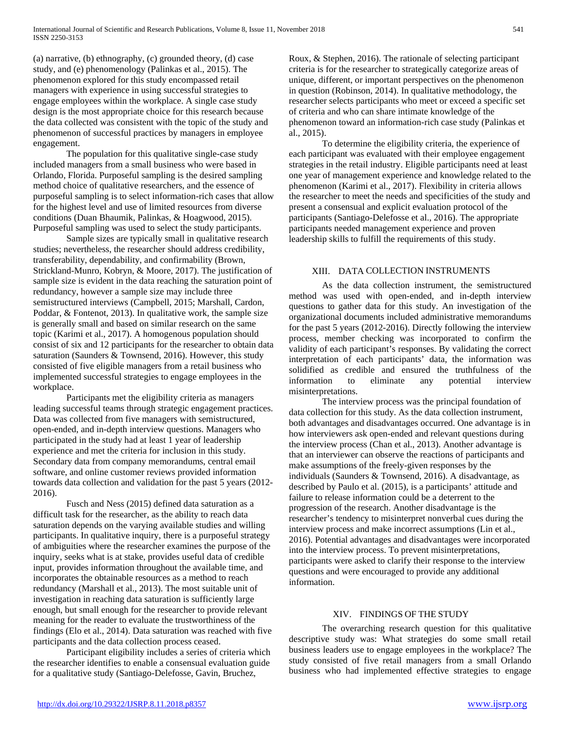(a) narrative, (b) ethnography, (c) grounded theory, (d) case study, and (e) phenomenology (Palinkas et al., 2015). The phenomenon explored for this study encompassed retail managers with experience in using successful strategies to engage employees within the workplace. A single case study design is the most appropriate choice for this research because the data collected was consistent with the topic of the study and phenomenon of successful practices by managers in employee engagement.

The population for this qualitative single-case study included managers from a small business who were based in Orlando, Florida. Purposeful sampling is the desired sampling method choice of qualitative researchers, and the essence of purposeful sampling is to select information-rich cases that allow for the highest level and use of limited resources from diverse conditions (Duan Bhaumik, Palinkas, & Hoagwood, 2015). Purposeful sampling was used to select the study participants.

Sample sizes are typically small in qualitative research studies; nevertheless, the researcher should address credibility, transferability, dependability, and confirmability (Brown, Strickland-Munro, Kobryn, & Moore, 2017). The justification of sample size is evident in the data reaching the saturation point of redundancy, however a sample size may include three semistructured interviews (Campbell, 2015; Marshall, Cardon, Poddar, & Fontenot, 2013). In qualitative work, the sample size is generally small and based on similar research on the same topic (Karimi et al., 2017). A homogenous population should consist of six and 12 participants for the researcher to obtain data saturation (Saunders & Townsend, 2016). However, this study consisted of five eligible managers from a retail business who implemented successful strategies to engage employees in the workplace.

Participants met the eligibility criteria as managers leading successful teams through strategic engagement practices. Data was collected from five managers with semistructured, open-ended, and in-depth interview questions. Managers who participated in the study had at least 1 year of leadership experience and met the criteria for inclusion in this study. Secondary data from company memorandums, central email software, and online customer reviews provided information towards data collection and validation for the past 5 years (2012- 2016).

Fusch and Ness (2015) defined data saturation as a difficult task for the researcher, as the ability to reach data saturation depends on the varying available studies and willing participants. In qualitative inquiry, there is a purposeful strategy of ambiguities where the researcher examines the purpose of the inquiry, seeks what is at stake, provides useful data of credible input, provides information throughout the available time, and incorporates the obtainable resources as a method to reach redundancy (Marshall et al., 2013). The most suitable unit of investigation in reaching data saturation is sufficiently large enough, but small enough for the researcher to provide relevant meaning for the reader to evaluate the trustworthiness of the findings (Elo et al., 2014). Data saturation was reached with five participants and the data collection process ceased.

Participant eligibility includes a series of criteria which the researcher identifies to enable a consensual evaluation guide for a qualitative study (Santiago-Delefosse, Gavin, Bruchez,

Roux, & Stephen, 2016). The rationale of selecting participant criteria is for the researcher to strategically categorize areas of unique, different, or important perspectives on the phenomenon in question (Robinson, 2014). In qualitative methodology, the researcher selects participants who meet or exceed a specific set of criteria and who can share intimate knowledge of the phenomenon toward an information-rich case study (Palinkas et al., 2015).

To determine the eligibility criteria, the experience of each participant was evaluated with their employee engagement strategies in the retail industry. Eligible participants need at least one year of management experience and knowledge related to the phenomenon (Karimi et al., 2017). Flexibility in criteria allows the researcher to meet the needs and specificities of the study and present a consensual and explicit evaluation protocol of the participants (Santiago-Delefosse et al., 2016). The appropriate participants needed management experience and proven leadership skills to fulfill the requirements of this study.

# XIII. DATA COLLECTION INSTRUMENTS

As the data collection instrument, the semistructured method was used with open-ended, and in-depth interview questions to gather data for this study. An investigation of the organizational documents included administrative memorandums for the past 5 years (2012-2016). Directly following the interview process, member checking was incorporated to confirm the validity of each participant's responses. By validating the correct interpretation of each participants' data, the information was solidified as credible and ensured the truthfulness of the information to eliminate any potential interview misinterpretations.

The interview process was the principal foundation of data collection for this study. As the data collection instrument, both advantages and disadvantages occurred. One advantage is in how interviewers ask open-ended and relevant questions during the interview process (Chan et al., 2013). Another advantage is that an interviewer can observe the reactions of participants and make assumptions of the freely-given responses by the individuals (Saunders & Townsend, 2016). A disadvantage, as described by Paulo et al. (2015), is a participants' attitude and failure to release information could be a deterrent to the progression of the research. Another disadvantage is the researcher's tendency to misinterpret nonverbal cues during the interview process and make incorrect assumptions (Lin et al., 2016). Potential advantages and disadvantages were incorporated into the interview process. To prevent misinterpretations, participants were asked to clarify their response to the interview questions and were encouraged to provide any additional information.

#### XIV. FINDINGS OF THE STUDY

The overarching research question for this qualitative descriptive study was: What strategies do some small retail business leaders use to engage employees in the workplace? The study consisted of five retail managers from a small Orlando business who had implemented effective strategies to engage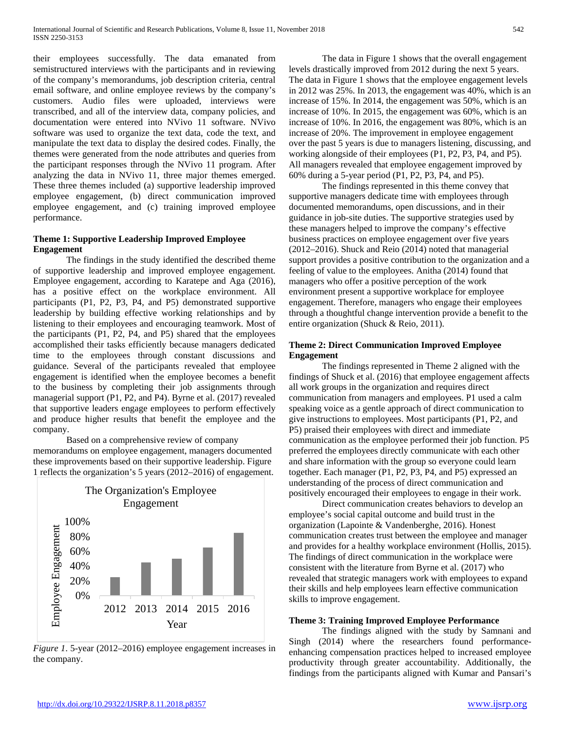their employees successfully. The data emanated from semistructured interviews with the participants and in reviewing of the company's memorandums, job description criteria, central email software, and online employee reviews by the company's customers. Audio files were uploaded, interviews were transcribed, and all of the interview data, company policies, and documentation were entered into NVivo 11 software. NVivo software was used to organize the text data, code the text, and manipulate the text data to display the desired codes. Finally, the themes were generated from the node attributes and queries from the participant responses through the NVivo 11 program. After analyzing the data in NVivo 11, three major themes emerged. These three themes included (a) supportive leadership improved employee engagement, (b) direct communication improved employee engagement, and (c) training improved employee performance.

#### **Theme 1: Supportive Leadership Improved Employee Engagement**

The findings in the study identified the described theme of supportive leadership and improved employee engagement. Employee engagement, according to Karatepe and Aga (2016), has a positive effect on the workplace environment. All participants (P1, P2, P3, P4, and P5) demonstrated supportive leadership by building effective working relationships and by listening to their employees and encouraging teamwork. Most of the participants (P1, P2, P4, and P5) shared that the employees accomplished their tasks efficiently because managers dedicated time to the employees through constant discussions and guidance. Several of the participants revealed that employee engagement is identified when the employee becomes a benefit to the business by completing their job assignments through managerial support (P1, P2, and P4). Byrne et al. (2017) revealed that supportive leaders engage employees to perform effectively and produce higher results that benefit the employee and the company.

Based on a comprehensive review of company memorandums on employee engagement, managers documented these improvements based on their supportive leadership. Figure 1 reflects the organization's 5 years (2012–2016) of engagement.



*Figure 1*. 5-year (2012–2016) employee engagement increases in the company.

The data in Figure 1 shows that the overall engagement levels drastically improved from 2012 during the next 5 years. The data in Figure 1 shows that the employee engagement levels in 2012 was 25%. In 2013, the engagement was 40%, which is an increase of 15%. In 2014, the engagement was 50%, which is an increase of 10%. In 2015, the engagement was 60%, which is an increase of 10%. In 2016, the engagement was 80%, which is an increase of 20%. The improvement in employee engagement over the past 5 years is due to managers listening, discussing, and working alongside of their employees (P1, P2, P3, P4, and P5). All managers revealed that employee engagement improved by 60% during a 5-year period (P1, P2, P3, P4, and P5).

The findings represented in this theme convey that supportive managers dedicate time with employees through documented memorandums, open discussions, and in their guidance in job-site duties. The supportive strategies used by these managers helped to improve the company's effective business practices on employee engagement over five years (2012–2016). Shuck and Reio (2014) noted that managerial support provides a positive contribution to the organization and a feeling of value to the employees. Anitha (2014) found that managers who offer a positive perception of the work environment present a supportive workplace for employee engagement. Therefore, managers who engage their employees through a thoughtful change intervention provide a benefit to the entire organization (Shuck & Reio, 2011).

## **Theme 2: Direct Communication Improved Employee Engagement**

The findings represented in Theme 2 aligned with the findings of Shuck et al. (2016) that employee engagement affects all work groups in the organization and requires direct communication from managers and employees. P1 used a calm speaking voice as a gentle approach of direct communication to give instructions to employees. Most participants (P1, P2, and P5) praised their employees with direct and immediate communication as the employee performed their job function. P5 preferred the employees directly communicate with each other and share information with the group so everyone could learn together. Each manager (P1, P2, P3, P4, and P5) expressed an understanding of the process of direct communication and positively encouraged their employees to engage in their work.

Direct communication creates behaviors to develop an employee's social capital outcome and build trust in the organization (Lapointe & Vandenberghe, 2016). Honest communication creates trust between the employee and manager and provides for a healthy workplace environment (Hollis, 2015). The findings of direct communication in the workplace were consistent with the literature from Byrne et al. (2017) who revealed that strategic managers work with employees to expand their skills and help employees learn effective communication skills to improve engagement.

## **Theme 3: Training Improved Employee Performance**

The findings aligned with the study by Samnani and Singh (2014) where the researchers found performanceenhancing compensation practices helped to increased employee productivity through greater accountability. Additionally, the findings from the participants aligned with Kumar and Pansari's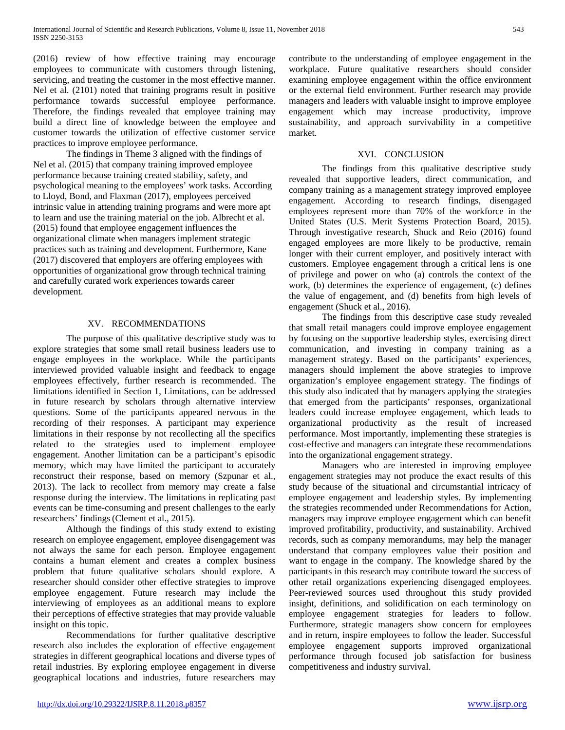(2016) review of how effective training may encourage employees to communicate with customers through listening, servicing, and treating the customer in the most effective manner. Nel et al. (2101) noted that training programs result in positive performance towards successful employee performance. Therefore, the findings revealed that employee training may build a direct line of knowledge between the employee and customer towards the utilization of effective customer service practices to improve employee performance.

The findings in Theme 3 aligned with the findings of Nel et al. (2015) that company training improved employee performance because training created stability, safety, and psychological meaning to the employees' work tasks. According to Lloyd, Bond, and Flaxman (2017), employees perceived intrinsic value in attending training programs and were more apt to learn and use the training material on the job. Albrecht et al. (2015) found that employee engagement influences the organizational climate when managers implement strategic practices such as training and development. Furthermore, Kane (2017) discovered that employers are offering employees with opportunities of organizational grow through technical training and carefully curated work experiences towards career development.

#### XV. RECOMMENDATIONS

The purpose of this qualitative descriptive study was to explore strategies that some small retail business leaders use to engage employees in the workplace. While the participants interviewed provided valuable insight and feedback to engage employees effectively, further research is recommended. The limitations identified in Section 1, Limitations, can be addressed in future research by scholars through alternative interview questions. Some of the participants appeared nervous in the recording of their responses. A participant may experience limitations in their response by not recollecting all the specifics related to the strategies used to implement employee engagement. Another limitation can be a participant's episodic memory, which may have limited the participant to accurately reconstruct their response, based on memory (Szpunar et al., 2013). The lack to recollect from memory may create a false response during the interview. The limitations in replicating past events can be time-consuming and present challenges to the early researchers' findings (Clement et al., 2015).

Although the findings of this study extend to existing research on employee engagement, employee disengagement was not always the same for each person. Employee engagement contains a human element and creates a complex business problem that future qualitative scholars should explore. A researcher should consider other effective strategies to improve employee engagement. Future research may include the interviewing of employees as an additional means to explore their perceptions of effective strategies that may provide valuable insight on this topic.

Recommendations for further qualitative descriptive research also includes the exploration of effective engagement strategies in different geographical locations and diverse types of retail industries. By exploring employee engagement in diverse geographical locations and industries, future researchers may

contribute to the understanding of employee engagement in the workplace. Future qualitative researchers should consider examining employee engagement within the office environment or the external field environment. Further research may provide managers and leaders with valuable insight to improve employee engagement which may increase productivity, improve sustainability, and approach survivability in a competitive market.

#### XVI. CONCLUSION

The findings from this qualitative descriptive study revealed that supportive leaders, direct communication, and company training as a management strategy improved employee engagement. According to research findings, disengaged employees represent more than 70% of the workforce in the United States (U.S. Merit Systems Protection Board, 2015). Through investigative research, Shuck and Reio (2016) found engaged employees are more likely to be productive, remain longer with their current employer, and positively interact with customers. Employee engagement through a critical lens is one of privilege and power on who (a) controls the context of the work, (b) determines the experience of engagement, (c) defines the value of engagement, and (d) benefits from high levels of engagement (Shuck et al., 2016).

The findings from this descriptive case study revealed that small retail managers could improve employee engagement by focusing on the supportive leadership styles, exercising direct communication, and investing in company training as a management strategy. Based on the participants' experiences, managers should implement the above strategies to improve organization's employee engagement strategy. The findings of this study also indicated that by managers applying the strategies that emerged from the participants' responses, organizational leaders could increase employee engagement, which leads to organizational productivity as the result of increased performance. Most importantly, implementing these strategies is cost-effective and managers can integrate these recommendations into the organizational engagement strategy.

Managers who are interested in improving employee engagement strategies may not produce the exact results of this study because of the situational and circumstantial intricacy of employee engagement and leadership styles. By implementing the strategies recommended under Recommendations for Action, managers may improve employee engagement which can benefit improved profitability, productivity, and sustainability. Archived records, such as company memorandums, may help the manager understand that company employees value their position and want to engage in the company. The knowledge shared by the participants in this research may contribute toward the success of other retail organizations experiencing disengaged employees. Peer-reviewed sources used throughout this study provided insight, definitions, and solidification on each terminology on employee engagement strategies for leaders to follow. Furthermore, strategic managers show concern for employees and in return, inspire employees to follow the leader. Successful employee engagement supports improved organizational performance through focused job satisfaction for business competitiveness and industry survival.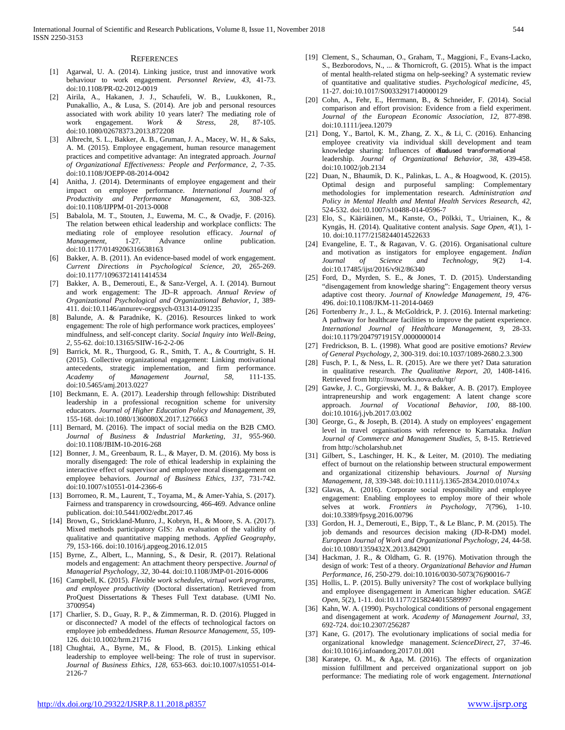#### **REFERENCES**

- [1] Agarwal, U. A. (2014). Linking justice, trust and innovative work behaviour to work engagement. *Personnel Review*, *43*, 41-73. doi:10.1108/PR-02-2012-0019
- [2] Airila, A., Hakanen, J. J., Schaufeli, W. B., Luukkonen, R., Punakallio, A., & Lusa, S. (2014). Are job and personal resources associated with work ability 10 years later? The mediating role of work engagement. *Work & Stress*, *28*, 87-105. doi:10.1080/02678373.2013.872208
- [3] Albrecht, S. L., Bakker, A. B., Gruman, J. A., Macey, W. H., & Saks, A. M. (2015). Employee engagement, human resource management practices and competitive advantage: An integrated approach. *Journal of Organizational Effectiveness: People and Performance*, *2*, 7-35. doi:10.1108/JOEPP-08-2014-0042
- [4] Anitha, J. (2014). Determinants of employee engagement and their impact on employee performance. *International Journal of Productivity and Performance Management, 63*, 308-323. doi:10.1108/IJPPM-01-2013-0008
- [5] Babalola, M. T., Stouten, J., Euwema, M. C., & Ovadje, F. (2016). The relation between ethical leadership and workplace conflicts: The mediating role of employee resolution efficacy. *Journal of Management,* 1-27. Advance online publication. doi:10.1177/0149206316638163
- [6] Bakker, A. B. (2011). An evidence-based model of work engagement. *Current Directions in Psychological Science*, *20*, 265-269. doi:10.1177/10963721411414534
- [7] Bakker, A. B., Demerouti, E., & Sanz-Vergel, A. I. (2014). Burnout and work engagement: The JD–R approach. *Annual Review of Organizational Psychological and Organizational Behavior*, *1*, 389- 411. doi:10.1146/annurev-orgpsych-031314-091235
- [8] Balunde, A. & Paradnike, K. (2016). Resources linked to work engagement: The role of high performance work practices, employees' mindfulness, and self-concept clarity. *Social Inquiry into Well-Being, 2,* 55-62. doi:10.13165/SIIW-16-2-2-06
- [9] Barrick, M. R., Thurgood, G. R., Smith, T. A., & Courtright, S. H. (2015). Collective organizational engagement: Linking motivational antecedents, strategic implementation, and firm performance. *Academy of Management Journal*, *58*, 111-135. doi:10.5465/amj.2013.0227
- [10] Beckmann, E. A. (2017). Leadership through fellowship: Distributed leadership in a professional recognition scheme for university educators. *Journal of Higher Education Policy and Management*, *39*, 155-168. doi:10.1080/1360080X.2017.1276663
- [11] Bernard, M. (2016). The impact of social media on the B2B CMO. *Journal of Business & Industrial Marketing*, *31*, 955-960. doi:10.1108/JBIM-10-2016-268
- [12] Bonner, J. M., Greenbaum, R. L., & Mayer, D. M. (2016). My boss is morally disengaged: The role of ethical leadership in explaining the interactive effect of supervisor and employee moral disengagement on employee behaviors. *Journal of Business Ethics*, *137*, 731-742. doi:10.1007/s10551-014-2366-6
- [13] Borromeo, R. M., Laurent, T., Toyama, M., & Amer-Yahia, S. (2017). Fairness and transparency in crowdsourcing, 466-469. Advance online publication. doi:10.5441/002/edbt.2017.46
- [14] Brown, G., Strickland-Munro, J., Kobryn, H., & Moore, S. A. (2017). Mixed methods participatory GIS: An evaluation of the validity of qualitative and quantitative mapping methods. *Applied Geography*, *79*, 153-166. doi:10.1016/j.apgeog.2016.12.015
- [15] Byrne, Z., Albert, L., Manning, S., & Desir, R. (2017). Relational models and engagement: An attachment theory perspective. *Journal of Managerial Psychology*, *32*, 30-44. doi:10.1108/JMP-01-2016-0006
- [16] Campbell, K. (2015). *Flexible work schedules, virtual work programs, and employee productivity* (Doctoral dissertation). Retrieved from ProQuest Dissertations & Theses Full Text database. (UMI No. 3700954)
- [17] Charlier, S. D., Guay, R. P., & Zimmerman, R. D. (2016). Plugged in or disconnected? A model of the effects of technological factors on employee job embeddedness. *Human Resource Management*, *55*, 109- 126. doi:10.1002/hrm.21716
- [18] Chughtai, A., Byrne, M., & Flood, B. (2015). Linking ethical leadership to employee well-being: The role of trust in supervisor. *Journal of Business Ethics*, *128*, 653-663. doi:10.1007/s10551-014- 2126-7
- [19] Clement, S., Schauman, O., Graham, T., Maggioni, F., Evans-Lacko, S., Bezborodovs, N., ... & Thornicroft, G. (2015). What is the impact of mental health-related stigma on help-seeking? A systematic review of quantitative and qualitative studies. *Psychological medicine*, *45*, 11-27. doi:10.1017/S00332917140000129
- [20] Cohn, A., Fehr, E., Herrmann, B., & Schneider, F. (2014). Social comparison and effort provision: Evidence from a field experiment. *Journal of the European Economic Association*, *12*, 877-898. doi:10.1111/jeea.12079
- [21] Dong, Y., Bartol, K. M., Zhang, Z. X., & Li, C. (2016). Enhancing employee creativity via individual skill development and team knowledge sharing: Influences of elfodused transformational leadership. *Journal of Organizational Behavior*, *38*, 439-458. doi:10.1002/job.2134
- [22] Duan, N., Bhaumik, D. K., Palinkas, L. A., & Hoagwood, K. (2015). Optimal design and purposeful sampling: Complementary methodologies for implementation research. *Administration and Policy in Mental Health and Mental Health Services Research*, *42*, 524-532. doi:10.1007/s10488-014-0596-7
- [23] Elo, S., Kääriäinen, M., Kanste, O., Pölkki, T., Utriainen, K., & Kyngäs, H. (2014). Qualitative content analysis. *Sage Open*, *4*(1), 1- 10. doi:10.1177/2158244014522633
- [24] Evangeline, E. T., & Ragavan, V. G. (2016). Organisational culture and motivation as instigators for employee engagement. *Indian Journal of Science and Technology*, *9*(2) 1-4. doi:10.17485/ijst/2016/v9i2/86340
- [25] Ford, D., Myrden, S. E., & Jones, T. D. (2015). Understanding "disengagement from knowledge sharing": Engagement theory versus adaptive cost theory. *Journal of Knowledge Management*, *19*, 476- 496. doi:10.1108/JKM-11-2014-0469
- [26] Fortenberry Jr., J. L., & McGoldrick, P. J. (2016). Internal marketing: A pathway for healthcare facilities to improve the patient experience. *International Journal of Healthcare Management*, *9*, 28-33. doi:10.1179/2047971915Y.0000000014
- [27] Fredrickson, B. L. (1998). What good are positive emotions? *Review of General Psychology, 2*, 300-319. doi:10.1037/1089-2680.2.3.300
- [28] Fusch, P. I., & Ness, L. R. (2015). Are we there yet? Data saturation in qualitative research. *The Qualitative Report*, *20*, 1408-1416. Retrieved from http://nsuworks.nova.edu/tqr/
- [29] Gawke, J. C., Gorgievski, M. J., & Bakker, A. B. (2017). Employee intrapreneurship and work engagement: A latent change score approach. *Journal of Vocational Behavior*, *100*, 88-100. doi:10.1016/j.jvb.2017.03.002
- [30] George, G., & Joseph, B. (2014). A study on employees' engagement level in travel organisations with reference to Karnataka. *Indian Journal of Commerce and Management Studies*, *5*, 8-15. Retrieved from http://scholarshub.net
- [31] Gilbert, S., Laschinger, H. K., & Leiter, M. (2010). The mediating effect of burnout on the relationship between structural empowerment and organizational citizenship behaviours. *Journal of Nursing Management*, *18*, 339-348. doi:10.1111/j.1365-2834.2010.01074.x
- [32] Glavas, A. (2016). Corporate social responsibility and employee engagement: Enabling employees to employ more of their whole selves at work. *Frontiers in Psychology*, *7*(796), 1-10. doi:10.3389/fpsyg.2016.00796
- [33] Gordon, H. J., Demerouti, E., Bipp, T., & Le Blanc, P. M. (2015). The job demands and resources decision making (JD-R-DM) model. *European Journal of Work and Organizational Psychology*, *24*, 44-58. doi:10.1080/1359432X.2013.842901
- [34] Hackman, J. R., & Oldham, G. R. (1976). Motivation through the design of work: Test of a theory. *Organizational Behavior and Human Performance*, *16*, 250-279. doi:10.1016/0030-5073(76)90016-7
- [35] Hollis, L. P. (2015). Bully university? The cost of workplace bullying and employee disengagement in American higher education. *SAGE Open*, *5*(2), 1-11. doi:10.1177/2158244015589997
- [36] Kahn, W. A. (1990). Psychological conditions of personal engagement and disengagement at work. *Academy of Management Journal*, *33*, 692-724. doi:10.2307/256287
- [37] Kane, G. (2017). The evolutionary implications of social media for organizational knowledge management. *ScienceDirect*, 27, 37-46. doi:10.1016/j.infoandorg.2017.01.001
- [38] Karatepe, O. M., & Aga, M. (2016). The effects of organization mission fulfillment and perceived organizational support on job performance: The mediating role of work engagement. *International*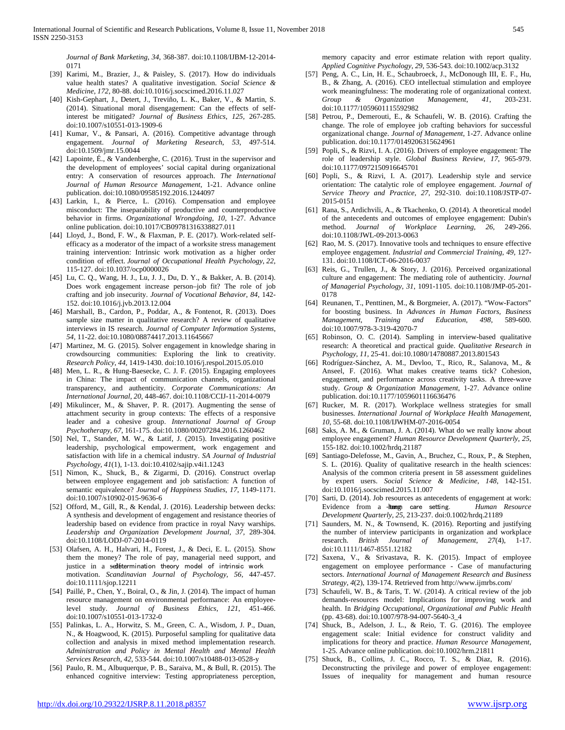*Journal of Bank Marketing*, *34*, 368-387. doi:10.1108/IJBM-12-2014- 0171

- [39] Karimi, M., Brazier, J., & Paisley, S. (2017). How do individuals value health states? A qualitative investigation. *Social Science & Medicine*, *172*, 80-88. doi:10.1016/j.socscimed.2016.11.027
- [40] Kish-Gephart, J., Detert, J., Treviño, L. K., Baker, V., & Martin, S. (2014). Situational moral disengagement: Can the effects of selfinterest be mitigated? *Journal of Business Ethics*, *125*, 267-285. doi:10.1007/s10551-013-1909-6
- [41] Kumar, V., & Pansari, A. (2016). Competitive advantage through engagement. *Journal of Marketing Research*, *53*, 497-514. doi:10.1509/jmr.15.0044
- [42] Lapointe, É., & Vandenberghe, C. (2016). Trust in the supervisor and the development of employees' social capital during organizational entry: A conservation of resources approach. *The International Journal of Human Resource Management*, 1-21. Advance online publication. doi:10.1080/09585192.2016.1244097
- [43] Larkin, I., & Pierce, L. (2016). Compensation and employee misconduct: The inseparability of productive and counterproductive behavior in firms. *Organizational Wrongdoing, 10,* 1-27. Advance online publication. doi:10.1017/CB09781316338827.011
- [44] Lloyd, J., Bond, F. W., & Flaxman, P. E. (2017). Work-related selfefficacy as a moderator of the impact of a worksite stress management training intervention: Intrinsic work motivation as a higher order condition of effect. *Journal of Occupational Health Psychology*, *22*, 115-127. doi:10.1037/ocp0000026
- [45] Lu, C. Q., Wang, H. J., Lu, J. J., Du, D. Y., & Bakker, A. B. (2014). Does work engagement increase person–job fit? The role of job crafting and job insecurity. *Journal of Vocational Behavior*, *84*, 142- 152. doi:10.1016/j.jvb.2013.12.004
- [46] Marshall, B., Cardon, P., Poddar, A., & Fontenot, R. (2013). Does sample size matter in qualitative research? A review of qualitative interviews in IS research. *Journal of Computer Information Systems*, *54*, 11-22. doi:10.1080/08874417.2013.11645667
- [47] Martinez, M. G. (2015). Solver engagement in knowledge sharing in crowdsourcing communities: Exploring the link to creativity. *Research Policy*, *44*, 1419-1430. doi:10.1016/j.respol.2015.05.010
- [48] Men, L. R., & Hung-Baesecke, C. J. F. (2015). Engaging employees in China: The impact of communication channels, organizational transparency, and authenticity. *Corporate Communications: An International Journal*, *20*, 448-467. doi:10.1108/CCIJ-11-2014-0079
- [49] Mikulincer, M., & Shaver, P. R. (2017). Augmenting the sense of attachment security in group contexts: The effects of a responsive leader and a cohesive group. *International Journal of Group Psychotherapy*, *67*, 161-175. doi:10.1080/00207284.2016.1260462
- [50] Nel, T., Stander, M. W., & Latif, J. (2015). Investigating positive leadership, psychological empowerment, work engagement and satisfaction with life in a chemical industry. *SA Journal of Industrial Psychology*, *41*(1), 1-13. doi:10.4102/sajip.v4i1.1243
- [51] Nimon, K., Shuck, B., & Zigarmi, D. (2016). Construct overlap between employee engagement and job satisfaction: A function of semantic equivalence? *Journal of Happiness Studies*, *17*, 1149-1171. doi:10.1007/s10902-015-9636-6
- [52] Offord, M., Gill, R., & Kendal, J. (2016). Leadership between decks: A synthesis and development of engagement and resistance theories of leadership based on evidence from practice in royal Navy warships. *Leadership and Organization Development Journal, 37,* 289-304. doi:10.1108/LODJ-07-2014-0119
- [53] Olafsen, A. H., Halvari, H., Forest, J., & Deci, E. L. (2015). Show them the money? The role of pay, managerial need support, and justice in a sedietermination theory model of intrinsic work motivation. *Scandinavian Journal of Psychology*, *56*, 447-457. doi:10.1111/sjop.12211
- [54] Paillé, P., Chen, Y., Boiral, O., & Jin, J. (2014). The impact of human resource management on environmental performance: An employeelevel study. *Journal of Business Ethics*, *121*, 451-466. doi:10.1007/s10551-013-1732-0
- [55] Palinkas, L. A., Horwitz, S. M., Green, C. A., Wisdom, J. P., Duan, N., & Hoagwood, K. (2015). Purposeful sampling for qualitative data collection and analysis in mixed method implementation research. *Administration and Policy in Mental Health and Mental Health Services Research*, *42*, 533-544. doi:10.1007/s10488-013-0528-y
- [56] Paulo, R. M., Albuquerque, P. B., Saraiva, M., & Bull, R. (2015). The enhanced cognitive interview: Testing appropriateness perception,

memory capacity and error estimate relation with report quality. *Applied Cognitive Psychology*, *29*, 536-543. doi:10.1002/acp.3132

- [57] Peng, A. C., Lin, H. E., Schaubroeck, J., McDonough III, E. F., Hu, B., & Zhang, A. (2016). CEO intellectual stimulation and employee work meaningfulness: The moderating role of organizational context. *Group & Organization Management*, *41*, 203-231. doi:10.1177/1059601115592982
- [58] Petrou, P., Demerouti, E., & Schaufeli, W. B. (2016). Crafting the change. The role of employee job crafting behaviors for successful organizational change. *Journal of Management*, 1-27. Advance online publication. doi:10.1177/0149206315624961
- [59] Popli, S., & Rizvi, I. A. (2016). Drivers of employee engagement: The role of leadership style. *Global Business Review*, *17*, 965-979. doi:10.1177/0972150916645701
- [60] Popli, S., & Rizvi, I. A. (2017). Leadership style and service orientation: The catalytic role of employee engagement. *Journal of Service Theory and Practice*, *27*, 292-310. doi:10.1108/JSTP-07- 2015-0151
- [61] Rana, S., Ardichvili, A., & Tkachenko, O. (2014). A theoretical model of the antecedents and outcomes of employee engagement: Dubin's method. *Journal of Workplace Learning*, *26*, 249-266. doi:10.1108/JWL-09-2013-0063
- [62] Rao, M. S. (2017). Innovative tools and techniques to ensure effective employee engagement. *Industrial and Commercial Training*, *49*, 127- 131. doi:10.1108/ICT-06-2016-0037
- [63] Reis, G., Trullen, J., & Story, J. (2016). Perceived organizational culture and engagement: The mediating role of authenticity. *Journal of Managerial Psychology*, *31*, 1091-1105. doi:10.1108/JMP-05-201- 0178
- [64] Reunanen, T., Penttinen, M., & Borgmeier, A. (2017). "Wow-Factors" for boosting business. In *Advances in Human Factors, Business Management, Training and Education, 498,* 589-600. doi:10.1007/978-3-319-42070-7
- [65] Robinson, O. C. (2014). Sampling in interview-based qualitative research: A theoretical and practical guide. *Qualitative Research in Psychology*, *11*, 25-41. doi:10.1080/14780887.2013.801543
- [66] Rodríguez-Sánchez, A. M., Devloo, T., Rico, R., Salanova, M., & Anseel, F. (2016). What makes creative teams tick? Cohesion, engagement, and performance across creativity tasks. A three-wave study. *Group & Organization Management*, 1-27. Advance online publication. doi:10.1177/1059601116636476
- [67] Rucker, M. R. (2017). Workplace wellness strategies for small businesses. *International Journal of Workplace Health Management*, *10*, 55-68. doi:10.1108/IJWHM-07-2016-0054
- [68] Saks, A. M., & Gruman, J. A. (2014). What do we really know about employee engagement? *Human Resource Development Quarterly*, *25*, 155-182. doi:10.1002/hrdq.21187
- [69] Santiago-Delefosse, M., Gavin, A., Bruchez, C., Roux, P., & Stephen, S. L. (2016). Quality of qualitative research in the health sciences: Analysis of the common criteria present in 58 assessment guidelines by expert users. *Social Science & Medicine*, *148*, 142-151. doi:10.1016/j.socscimed.2015.11.007
- [70] Sarti, D. (2014). Job resources as antecedents of engagement at work: Evidence from a -lteng care setting. *Human Resource Development Quarterly*, *25*, 213-237. doi:0.1002/hrdq.21189
- [71] Saunders, M. N., & Townsend, K. (2016). Reporting and justifying the number of interview participants in organization and workplace research. *British Journal of Management*, *27*(4), 1-17. doi:10.1111/1467-8551.12182
- [72] Saxena, V., & Srivastava, R. K. (2015). Impact of employee engagement on employee performance - Case of manufacturing sectors. *International Journal of Management Research and Business Strategy*, *4*(2), 139-174. Retrieved from http://www.ijmrbs.com/
- [73] Schaufeli, W. B., & Taris, T. W. (2014). A critical review of the job demands-resources model: Implications for improving work and health. In *Bridging Occupational, Organizational and Public Health* (pp. 43-68). doi:10.1007/978-94-007-5640-3\_4
- [74] Shuck, B., Adelson, J. L., & Reio, T. G. (2016). The employee engagement scale: Initial evidence for construct validity and implications for theory and practice. *Human Resource Management,*  1-25. Advance online publication. doi:10.1002/hrm.21811
- [75] Shuck, B., Collins, J. C., Rocco, T. S., & Diaz, R. (2016). Deconstructing the privilege and power of employee engagement: Issues of inequality for management and human resource